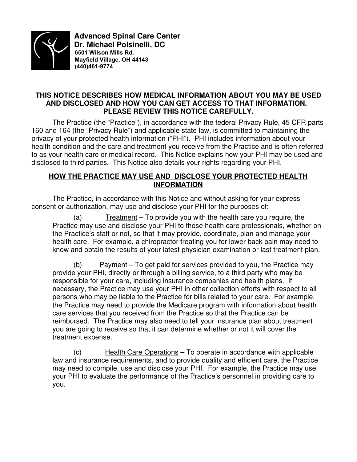

 **Advanced Spinal Care Center Dr. Michael Polsinelli, DC 6501 Wilson Mills Rd. Mayfield Village, OH 44143 (440)461-9774**

### **THIS NOTICE DESCRIBES HOW MEDICAL INFORMATION ABOUT YOU MAY BE USED AND DISCLOSED AND HOW YOU CAN GET ACCESS TO THAT INFORMATION. PLEASE REVIEW THIS NOTICE CAREFULLY.**

The Practice (the "Practice"), in accordance with the federal Privacy Rule, 45 CFR parts 160 and 164 (the "Privacy Rule") and applicable state law, is committed to maintaining the privacy of your protected health information ("PHI"). PHI includes information about your health condition and the care and treatment you receive from the Practice and is often referred to as your health care or medical record. This Notice explains how your PHI may be used and disclosed to third parties. This Notice also details your rights regarding your PHI.

#### **HOW THE PRACTICE MAY USE AND DISCLOSE YOUR PROTECTED HEALTH INFORMATION**

The Practice, in accordance with this Notice and without asking for your express consent or authorization, may use and disclose your PHI for the purposes of:

 $(a)$  Treatment – To provide you with the health care you require, the Practice may use and disclose your PHI to those health care professionals, whether on the Practice's staff or not, so that it may provide, coordinate, plan and manage your health care. For example, a chiropractor treating you for lower back pain may need to know and obtain the results of your latest physician examination or last treatment plan.

(b) Payment – To get paid for services provided to you, the Practice may provide your PHI, directly or through a billing service, to a third party who may be responsible for your care, including insurance companies and health plans. If necessary, the Practice may use your PHI in other collection efforts with respect to all persons who may be liable to the Practice for bills related to your care. For example, the Practice may need to provide the Medicare program with information about health care services that you received from the Practice so that the Practice can be reimbursed. The Practice may also need to tell your insurance plan about treatment you are going to receive so that it can determine whether or not it will cover the treatment expense.

(c) Health Care Operations – To operate in accordance with applicable law and insurance requirements, and to provide quality and efficient care, the Practice may need to compile, use and disclose your PHI. For example, the Practice may use your PHI to evaluate the performance of the Practice's personnel in providing care to you.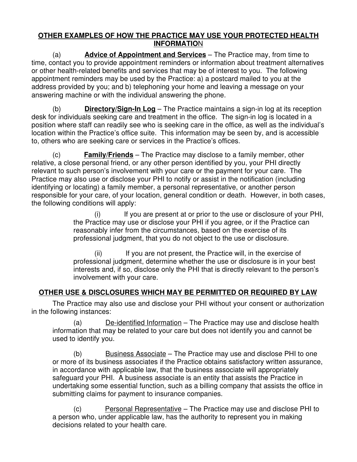### **OTHER EXAMPLES OF HOW THE PRACTICE MAY USE YOUR PROTECTED HEALTH INFORMATION**

(a) **Advice of Appointment and Services** – The Practice may, from time to time, contact you to provide appointment reminders or information about treatment alternatives or other health-related benefits and services that may be of interest to you. The following appointment reminders may be used by the Practice: a) a postcard mailed to you at the address provided by you; and b) telephoning your home and leaving a message on your answering machine or with the individual answering the phone.

(b) **Directory/Sign-In Log** – The Practice maintains a sign-in log at its reception desk for individuals seeking care and treatment in the office. The sign-in log is located in a position where staff can readily see who is seeking care in the office, as well as the individual's location within the Practice's office suite. This information may be seen by, and is accessible to, others who are seeking care or services in the Practice's offices.

(c) **Family/Friends** – The Practice may disclose to a family member, other relative, a close personal friend, or any other person identified by you, your PHI directly relevant to such person's involvement with your care or the payment for your care. The Practice may also use or disclose your PHI to notify or assist in the notification (including identifying or locating) a family member, a personal representative, or another person responsible for your care, of your location, general condition or death. However, in both cases, the following conditions will apply:

> (i) If you are present at or prior to the use or disclosure of your PHI, the Practice may use or disclose your PHI if you agree, or if the Practice can reasonably infer from the circumstances, based on the exercise of its professional judgment, that you do not object to the use or disclosure.

(ii) If you are not present, the Practice will, in the exercise of professional judgment, determine whether the use or disclosure is in your best interests and, if so, disclose only the PHI that is directly relevant to the person's involvement with your care.

# **OTHER USE & DISCLOSURES WHICH MAY BE PERMITTED OR REQUIRED BY LAW**

The Practice may also use and disclose your PHI without your consent or authorization in the following instances:

(a) De-identified Information – The Practice may use and disclose health information that may be related to your care but does not identify you and cannot be used to identify you.

(b) Business Associate – The Practice may use and disclose PHI to one or more of its business associates if the Practice obtains satisfactory written assurance, in accordance with applicable law, that the business associate will appropriately safeguard your PHI. A business associate is an entity that assists the Practice in undertaking some essential function, such as a billing company that assists the office in submitting claims for payment to insurance companies.

(c) Personal Representative – The Practice may use and disclose PHI to a person who, under applicable law, has the authority to represent you in making decisions related to your health care.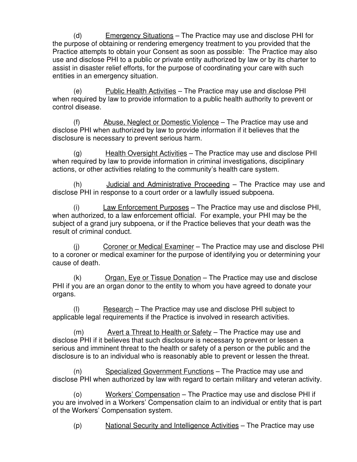(d) Emergency Situations – The Practice may use and disclose PHI for the purpose of obtaining or rendering emergency treatment to you provided that the Practice attempts to obtain your Consent as soon as possible: The Practice may also use and disclose PHI to a public or private entity authorized by law or by its charter to assist in disaster relief efforts, for the purpose of coordinating your care with such entities in an emergency situation.

(e) Public Health Activities – The Practice may use and disclose PHI when required by law to provide information to a public health authority to prevent or control disease.

(f) Abuse, Neglect or Domestic Violence – The Practice may use and disclose PHI when authorized by law to provide information if it believes that the disclosure is necessary to prevent serious harm.

 $(q)$  Health Oversight Activities – The Practice may use and disclose PHI when required by law to provide information in criminal investigations, disciplinary actions, or other activities relating to the community's health care system.

(h) Judicial and Administrative Proceeding – The Practice may use and disclose PHI in response to a court order or a lawfully issued subpoena.

(i) Law Enforcement Purposes – The Practice may use and disclose PHI, when authorized, to a law enforcement official. For example, your PHI may be the subject of a grand jury subpoena, or if the Practice believes that your death was the result of criminal conduct.

(j) Coroner or Medical Examiner – The Practice may use and disclose PHI to a coroner or medical examiner for the purpose of identifying you or determining your cause of death.

(k) Organ, Eye or Tissue Donation – The Practice may use and disclose PHI if you are an organ donor to the entity to whom you have agreed to donate your organs.

(l) Research – The Practice may use and disclose PHI subject to applicable legal requirements if the Practice is involved in research activities.

(m) Avert a Threat to Health or Safety – The Practice may use and disclose PHI if it believes that such disclosure is necessary to prevent or lessen a serious and imminent threat to the health or safety of a person or the public and the disclosure is to an individual who is reasonably able to prevent or lessen the threat.

(n) Specialized Government Functions – The Practice may use and disclose PHI when authorized by law with regard to certain military and veteran activity.

(o) Workers' Compensation – The Practice may use and disclose PHI if you are involved in a Workers' Compensation claim to an individual or entity that is part of the Workers' Compensation system.

(p) National Security and Intelligence Activities – The Practice may use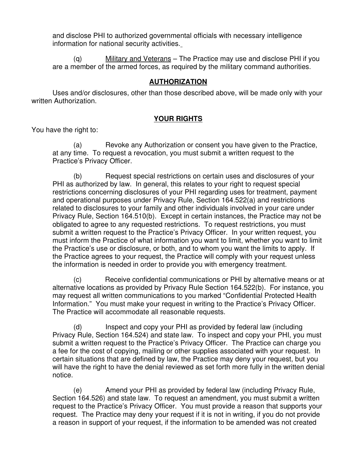and disclose PHI to authorized governmental officials with necessary intelligence information for national security activities.

(q) Military and Veterans – The Practice may use and disclose PHI if you are a member of the armed forces, as required by the military command authorities.

#### **AUTHORIZATION**

Uses and/or disclosures, other than those described above, will be made only with your written Authorization.

#### **YOUR RIGHTS**

You have the right to:

(a) Revoke any Authorization or consent you have given to the Practice, at any time. To request a revocation, you must submit a written request to the Practice's Privacy Officer.

(b) Request special restrictions on certain uses and disclosures of your PHI as authorized by law. In general, this relates to your right to request special restrictions concerning disclosures of your PHI regarding uses for treatment, payment and operational purposes under Privacy Rule, Section 164.522(a) and restrictions related to disclosures to your family and other individuals involved in your care under Privacy Rule, Section 164.510(b). Except in certain instances, the Practice may not be obligated to agree to any requested restrictions. To request restrictions, you must submit a written request to the Practice's Privacy Officer. In your written request, you must inform the Practice of what information you want to limit, whether you want to limit the Practice's use or disclosure, or both, and to whom you want the limits to apply. If the Practice agrees to your request, the Practice will comply with your request unless the information is needed in order to provide you with emergency treatment.

(c) Receive confidential communications or PHI by alternative means or at alternative locations as provided by Privacy Rule Section 164.522(b). For instance, you may request all written communications to you marked "Confidential Protected Health Information." You must make your request in writing to the Practice's Privacy Officer. The Practice will accommodate all reasonable requests.

(d) Inspect and copy your PHI as provided by federal law (including Privacy Rule, Section 164.524) and state law. To inspect and copy your PHI, you must submit a written request to the Practice's Privacy Officer. The Practice can charge you a fee for the cost of copying, mailing or other supplies associated with your request. In certain situations that are defined by law, the Practice may deny your request, but you will have the right to have the denial reviewed as set forth more fully in the written denial notice.

(e) Amend your PHI as provided by federal law (including Privacy Rule, Section 164.526) and state law. To request an amendment, you must submit a written request to the Practice's Privacy Officer. You must provide a reason that supports your request. The Practice may deny your request if it is not in writing, if you do not provide a reason in support of your request, if the information to be amended was not created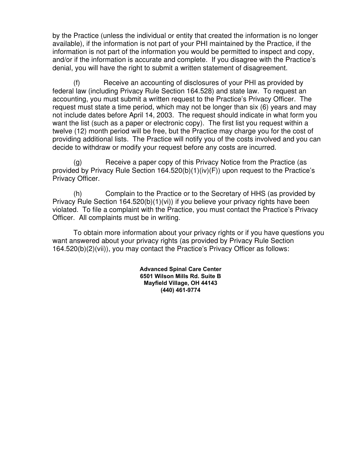by the Practice (unless the individual or entity that created the information is no longer available), if the information is not part of your PHI maintained by the Practice, if the information is not part of the information you would be permitted to inspect and copy, and/or if the information is accurate and complete. If you disagree with the Practice's denial, you will have the right to submit a written statement of disagreement.

(f) Receive an accounting of disclosures of your PHI as provided by federal law (including Privacy Rule Section 164.528) and state law. To request an accounting, you must submit a written request to the Practice's Privacy Officer. The request must state a time period, which may not be longer than six (6) years and may not include dates before April 14, 2003. The request should indicate in what form you want the list (such as a paper or electronic copy). The first list you request within a twelve (12) month period will be free, but the Practice may charge you for the cost of providing additional lists. The Practice will notify you of the costs involved and you can decide to withdraw or modify your request before any costs are incurred.

(g) Receive a paper copy of this Privacy Notice from the Practice (as provided by Privacy Rule Section 164.520(b)(1)(iv)(F)) upon request to the Practice's Privacy Officer.

(h) Complain to the Practice or to the Secretary of HHS (as provided by Privacy Rule Section 164.520(b)(1)(vi)) if you believe your privacy rights have been violated. To file a complaint with the Practice, you must contact the Practice's Privacy Officer. All complaints must be in writing.

To obtain more information about your privacy rights or if you have questions you want answered about your privacy rights (as provided by Privacy Rule Section 164.520(b)(2)(vii)), you may contact the Practice's Privacy Officer as follows:

> **Advanced Spinal Care Center 6501 Wilson Mills Rd. Suite B Mayfield Village, OH 44143 (440) 461-9774**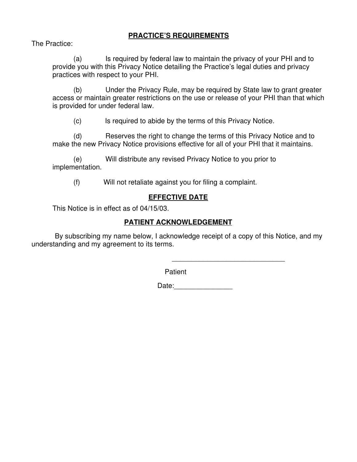### **PRACTICE'S REQUIREMENTS**

The Practice:

(a) Is required by federal law to maintain the privacy of your PHI and to provide you with this Privacy Notice detailing the Practice's legal duties and privacy practices with respect to your PHI.

(b) Under the Privacy Rule, may be required by State law to grant greater access or maintain greater restrictions on the use or release of your PHI than that which is provided for under federal law.

(c) Is required to abide by the terms of this Privacy Notice.

(d) Reserves the right to change the terms of this Privacy Notice and to make the new Privacy Notice provisions effective for all of your PHI that it maintains.

(e) Will distribute any revised Privacy Notice to you prior to implementation.

(f) Will not retaliate against you for filing a complaint.

### **EFFECTIVE DATE**

This Notice is in effect as of 04/15/03.

#### **PATIENT ACKNOWLEDGEMENT**

 By subscribing my name below, I acknowledge receipt of a copy of this Notice, and my understanding and my agreement to its terms.

Patient

 $\overline{\phantom{a}}$  , and the contract of the contract of the contract of the contract of the contract of the contract of the contract of the contract of the contract of the contract of the contract of the contract of the contrac

Date:\_\_\_\_\_\_\_\_\_\_\_\_\_\_\_